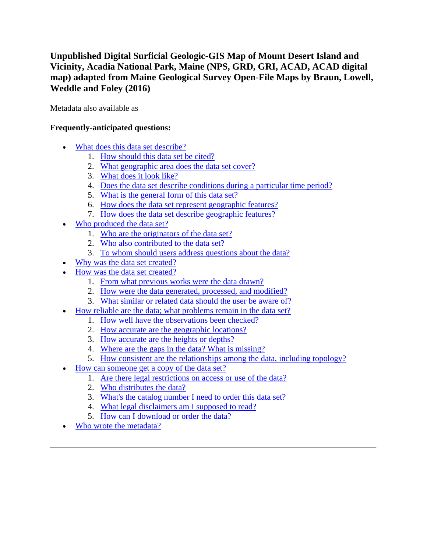# **Unpublished Digital Surficial Geologic-GIS Map of Mount Desert Island and Vicinity, Acadia National Park, Maine (NPS, GRD, GRI, ACAD, ACAD digital map) adapted from Maine Geological Survey Open-File Maps by Braun, Lowell, Weddle and Foley (2016)**

Metadata also available as

# **Frequently-anticipated questions:**

- [What does this data set describe?](#page-0-0)
	- 1. [How should this data set be cited?](#page-2-0)
	- 2. [What geographic area does the data set cover?](#page-2-1)
	- 3. [What does it look like?](#page-2-2)
	- 4. [Does the data set describe conditions during a particular time period?](#page-2-3)
	- 5. [What is the general form of this data set?](#page-2-4)
	- 6. [How does the data set represent geographic features?](#page-3-0)
	- 7. [How does the data set describe geographic features?](#page-3-1)
- [Who produced the data set?](#page-3-2)
	- 1. [Who are the originators of the data set?](#page-3-3)
	- 2. [Who also contributed to the data set?](#page-3-4)
	- 3. [To whom should users address questions about the data?](#page-3-5)
- [Why was the data set created?](#page-4-0)
- [How was the data set created?](#page-4-1)
	- 1. [From what previous works were the data drawn?](#page-4-2)
	- 2. [How were the data generated, processed, and modified?](#page-7-0)
	- 3. [What similar or related data should the user be aware of?](#page-8-0)
- [How reliable are the data; what problems remain in the data set?](#page-8-1)
	- 1. [How well have the observations been checked?](#page-8-2)
	- 2. [How accurate are the geographic locations?](#page-9-0)
	- 3. [How accurate are the heights or depths?](#page-9-1)
	- 4. [Where are the gaps in the data? What is missing?](#page-9-2)
	- 5. [How consistent are the relationships among the data, including topology?](#page-9-3)
- [How can someone get a copy of the data set?](#page-9-4)
	- 1. [Are there legal restrictions on access or use of the data?](#page-9-5)
	- 2. [Who distributes the data?](#page-10-0)
	- 3. [What's the catalog number I need to order this data set?](#page-10-1)
	- 4. [What legal disclaimers am I supposed to read?](#page-10-2)
	- 5. [How can I download or order the data?](#page-11-0)
- <span id="page-0-0"></span>[Who wrote the metadata?](#page-11-1)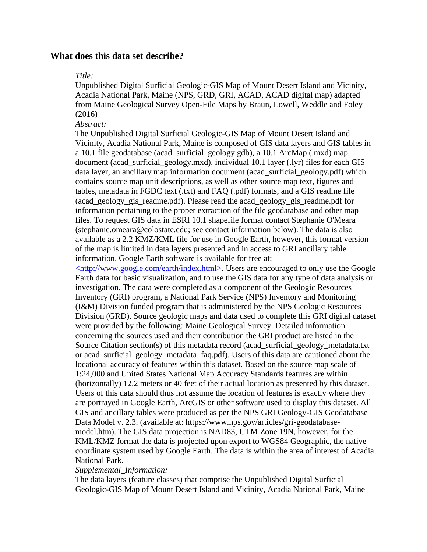# **What does this data set describe?**

### *Title:*

Unpublished Digital Surficial Geologic-GIS Map of Mount Desert Island and Vicinity, Acadia National Park, Maine (NPS, GRD, GRI, ACAD, ACAD digital map) adapted from Maine Geological Survey Open-File Maps by Braun, Lowell, Weddle and Foley (2016)

### *Abstract:*

The Unpublished Digital Surficial Geologic-GIS Map of Mount Desert Island and Vicinity, Acadia National Park, Maine is composed of GIS data layers and GIS tables in a 10.1 file geodatabase (acad\_surficial\_geology.gdb), a 10.1 ArcMap (.mxd) map document (acad surficial geology.mxd), individual 10.1 layer (.lyr) files for each GIS data layer, an ancillary map information document (acad\_surficial\_geology.pdf) which contains source map unit descriptions, as well as other source map text, figures and tables, metadata in FGDC text (.txt) and FAQ (.pdf) formats, and a GIS readme file (acad\_geology\_gis\_readme.pdf). Please read the acad\_geology\_gis\_readme.pdf for information pertaining to the proper extraction of the file geodatabase and other map files. To request GIS data in ESRI 10.1 shapefile format contact Stephanie O'Meara (stephanie.omeara@colostate.edu; see contact information below). The data is also available as a 2.2 KMZ/KML file for use in Google Earth, however, this format version of the map is limited in data layers presented and in access to GRI ancillary table information. Google Earth software is available for free at:

[<http://www.google.com/earth/index.html>.](http://www.google.com/earth/index.html) Users are encouraged to only use the Google Earth data for basic visualization, and to use the GIS data for any type of data analysis or investigation. The data were completed as a component of the Geologic Resources Inventory (GRI) program, a National Park Service (NPS) Inventory and Monitoring (I&M) Division funded program that is administered by the NPS Geologic Resources Division (GRD). Source geologic maps and data used to complete this GRI digital dataset were provided by the following: Maine Geological Survey. Detailed information concerning the sources used and their contribution the GRI product are listed in the Source Citation section(s) of this metadata record (acad\_surficial\_geology\_metadata.txt or acad\_surficial\_geology\_metadata\_faq.pdf). Users of this data are cautioned about the locational accuracy of features within this dataset. Based on the source map scale of 1:24,000 and United States National Map Accuracy Standards features are within (horizontally) 12.2 meters or 40 feet of their actual location as presented by this dataset. Users of this data should thus not assume the location of features is exactly where they are portrayed in Google Earth, ArcGIS or other software used to display this dataset. All GIS and ancillary tables were produced as per the NPS GRI Geology-GIS Geodatabase Data Model v. 2.3. (available at: https://www.nps.gov/articles/gri-geodatabasemodel.htm). The GIS data projection is NAD83, UTM Zone 19N, however, for the KML/KMZ format the data is projected upon export to WGS84 Geographic, the native coordinate system used by Google Earth. The data is within the area of interest of Acadia National Park.

### *Supplemental\_Information:*

The data layers (feature classes) that comprise the Unpublished Digital Surficial Geologic-GIS Map of Mount Desert Island and Vicinity, Acadia National Park, Maine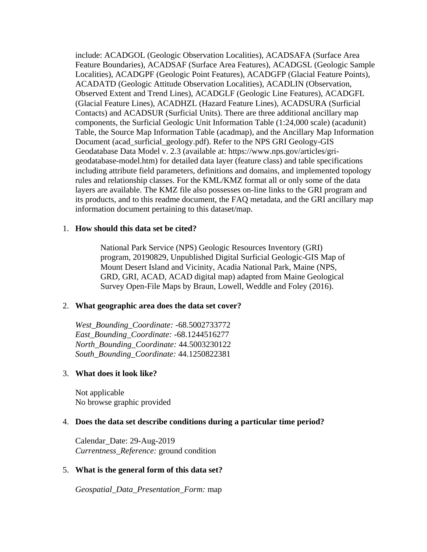include: ACADGOL (Geologic Observation Localities), ACADSAFA (Surface Area Feature Boundaries), ACADSAF (Surface Area Features), ACADGSL (Geologic Sample Localities), ACADGPF (Geologic Point Features), ACADGFP (Glacial Feature Points), ACADATD (Geologic Attitude Observation Localities), ACADLIN (Observation, Observed Extent and Trend Lines), ACADGLF (Geologic Line Features), ACADGFL (Glacial Feature Lines), ACADHZL (Hazard Feature Lines), ACADSURA (Surficial Contacts) and ACADSUR (Surficial Units). There are three additional ancillary map components, the Surficial Geologic Unit Information Table (1:24,000 scale) (acadunit) Table, the Source Map Information Table (acadmap), and the Ancillary Map Information Document (acad\_surficial\_geology.pdf). Refer to the NPS GRI Geology-GIS Geodatabase Data Model v. 2.3 (available at: https://www.nps.gov/articles/grigeodatabase-model.htm) for detailed data layer (feature class) and table specifications including attribute field parameters, definitions and domains, and implemented topology rules and relationship classes. For the KML/KMZ format all or only some of the data layers are available. The KMZ file also possesses on-line links to the GRI program and its products, and to this readme document, the FAQ metadata, and the GRI ancillary map information document pertaining to this dataset/map.

### <span id="page-2-0"></span>1. **How should this data set be cited?**

National Park Service (NPS) Geologic Resources Inventory (GRI) program, 20190829, Unpublished Digital Surficial Geologic-GIS Map of Mount Desert Island and Vicinity, Acadia National Park, Maine (NPS, GRD, GRI, ACAD, ACAD digital map) adapted from Maine Geological Survey Open-File Maps by Braun, Lowell, Weddle and Foley (2016).

### <span id="page-2-1"></span>2. **What geographic area does the data set cover?**

*West\_Bounding\_Coordinate:* -68.5002733772 *East\_Bounding\_Coordinate:* -68.1244516277 *North\_Bounding\_Coordinate:* 44.5003230122 *South\_Bounding\_Coordinate:* 44.1250822381

### <span id="page-2-2"></span>3. **What does it look like?**

Not applicable No browse graphic provided

### <span id="page-2-3"></span>4. **Does the data set describe conditions during a particular time period?**

Calendar\_Date: 29-Aug-2019 *Currentness\_Reference:* ground condition

### <span id="page-2-4"></span>5. **What is the general form of this data set?**

*Geospatial\_Data\_Presentation\_Form:* map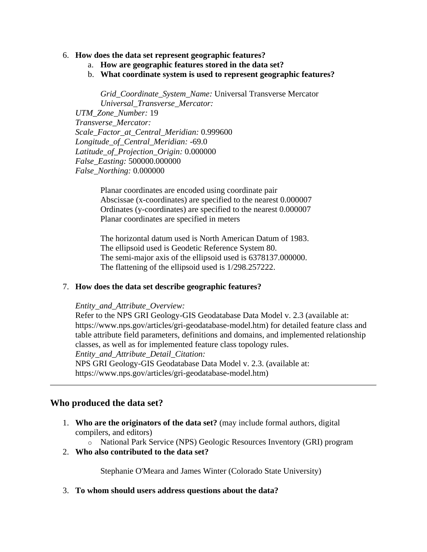### <span id="page-3-0"></span>6. **How does the data set represent geographic features?**

- a. **How are geographic features stored in the data set?**
- b. **What coordinate system is used to represent geographic features?**

*Grid\_Coordinate\_System\_Name:* Universal Transverse Mercator *Universal\_Transverse\_Mercator: UTM\_Zone\_Number:* 19 *Transverse\_Mercator: Scale\_Factor\_at\_Central\_Meridian:* 0.999600 *Longitude\_of\_Central\_Meridian:* -69.0 *Latitude\_of\_Projection\_Origin:* 0.000000 *False\_Easting:* 500000.000000 *False\_Northing:* 0.000000

Planar coordinates are encoded using coordinate pair Abscissae (x-coordinates) are specified to the nearest 0.000007 Ordinates (y-coordinates) are specified to the nearest 0.000007 Planar coordinates are specified in meters

The horizontal datum used is North American Datum of 1983. The ellipsoid used is Geodetic Reference System 80. The semi-major axis of the ellipsoid used is 6378137.000000. The flattening of the ellipsoid used is 1/298.257222.

## <span id="page-3-1"></span>7. **How does the data set describe geographic features?**

### *Entity\_and\_Attribute\_Overview:*

Refer to the NPS GRI Geology-GIS Geodatabase Data Model v. 2.3 (available at: https://www.nps.gov/articles/gri-geodatabase-model.htm) for detailed feature class and table attribute field parameters, definitions and domains, and implemented relationship classes, as well as for implemented feature class topology rules. *Entity\_and\_Attribute\_Detail\_Citation:* NPS GRI Geology-GIS Geodatabase Data Model v. 2.3. (available at:

https://www.nps.gov/articles/gri-geodatabase-model.htm)

# <span id="page-3-2"></span>**Who produced the data set?**

- <span id="page-3-3"></span>1. **Who are the originators of the data set?** (may include formal authors, digital compilers, and editors)
	- o National Park Service (NPS) Geologic Resources Inventory (GRI) program
- <span id="page-3-4"></span>2. **Who also contributed to the data set?**

Stephanie O'Meara and James Winter (Colorado State University)

<span id="page-3-5"></span>3. **To whom should users address questions about the data?**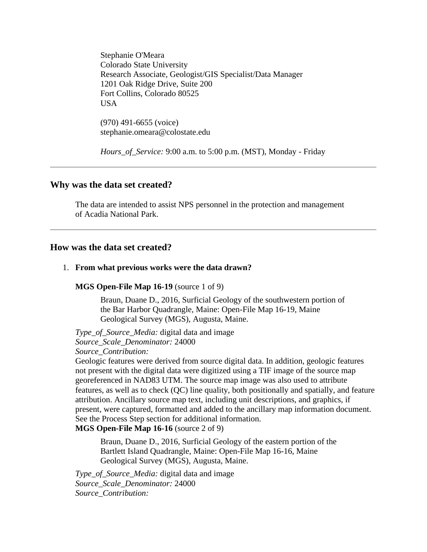Stephanie O'Meara Colorado State University Research Associate, Geologist/GIS Specialist/Data Manager 1201 Oak Ridge Drive, Suite 200 Fort Collins, Colorado 80525 USA

(970) 491-6655 (voice) stephanie.omeara@colostate.edu

*Hours\_of\_Service:* 9:00 a.m. to 5:00 p.m. (MST), Monday - Friday

### <span id="page-4-0"></span>**Why was the data set created?**

The data are intended to assist NPS personnel in the protection and management of Acadia National Park.

# <span id="page-4-1"></span>**How was the data set created?**

#### <span id="page-4-2"></span>1. **From what previous works were the data drawn?**

#### **MGS Open-File Map 16-19** (source 1 of 9)

Braun, Duane D., 2016, Surficial Geology of the southwestern portion of the Bar Harbor Quadrangle, Maine: Open-File Map 16-19, Maine Geological Survey (MGS), Augusta, Maine.

*Type\_of\_Source\_Media:* digital data and image *Source\_Scale\_Denominator:* 24000 *Source\_Contribution:*

Geologic features were derived from source digital data. In addition, geologic features not present with the digital data were digitized using a TIF image of the source map georeferenced in NAD83 UTM. The source map image was also used to attribute features, as well as to check (QC) line quality, both positionally and spatially, and feature attribution. Ancillary source map text, including unit descriptions, and graphics, if present, were captured, formatted and added to the ancillary map information document. See the Process Step section for additional information.

### **MGS Open-File Map 16-16** (source 2 of 9)

Braun, Duane D., 2016, Surficial Geology of the eastern portion of the Bartlett Island Quadrangle, Maine: Open-File Map 16-16, Maine Geological Survey (MGS), Augusta, Maine.

*Type\_of\_Source\_Media:* digital data and image *Source\_Scale\_Denominator:* 24000 *Source\_Contribution:*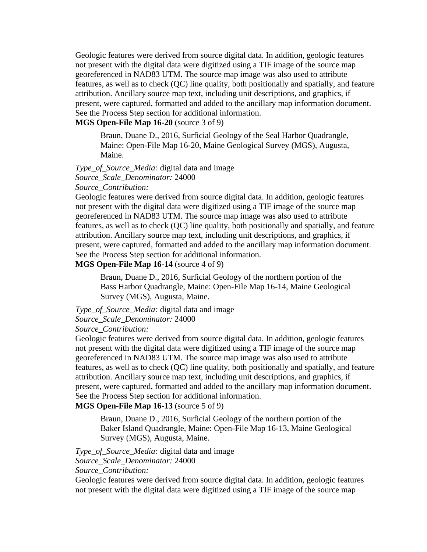Geologic features were derived from source digital data. In addition, geologic features not present with the digital data were digitized using a TIF image of the source map georeferenced in NAD83 UTM. The source map image was also used to attribute features, as well as to check (QC) line quality, both positionally and spatially, and feature attribution. Ancillary source map text, including unit descriptions, and graphics, if present, were captured, formatted and added to the ancillary map information document. See the Process Step section for additional information.

# **MGS Open-File Map 16-20** (source 3 of 9)

Braun, Duane D., 2016, Surficial Geology of the Seal Harbor Quadrangle, Maine: Open-File Map 16-20, Maine Geological Survey (MGS), Augusta, Maine.

*Type\_of\_Source\_Media:* digital data and image *Source\_Scale\_Denominator:* 24000 *Source\_Contribution:*

Geologic features were derived from source digital data. In addition, geologic features not present with the digital data were digitized using a TIF image of the source map georeferenced in NAD83 UTM. The source map image was also used to attribute features, as well as to check (QC) line quality, both positionally and spatially, and feature attribution. Ancillary source map text, including unit descriptions, and graphics, if present, were captured, formatted and added to the ancillary map information document. See the Process Step section for additional information.

# **MGS Open-File Map 16-14** (source 4 of 9)

Braun, Duane D., 2016, Surficial Geology of the northern portion of the Bass Harbor Quadrangle, Maine: Open-File Map 16-14, Maine Geological Survey (MGS), Augusta, Maine.

### *Type\_of\_Source\_Media:* digital data and image *Source\_Scale\_Denominator:* 24000 *Source\_Contribution:*

Geologic features were derived from source digital data. In addition, geologic features not present with the digital data were digitized using a TIF image of the source map georeferenced in NAD83 UTM. The source map image was also used to attribute features, as well as to check (QC) line quality, both positionally and spatially, and feature attribution. Ancillary source map text, including unit descriptions, and graphics, if present, were captured, formatted and added to the ancillary map information document. See the Process Step section for additional information.

## **MGS Open-File Map 16-13** (source 5 of 9)

Braun, Duane D., 2016, Surficial Geology of the northern portion of the Baker Island Quadrangle, Maine: Open-File Map 16-13, Maine Geological Survey (MGS), Augusta, Maine.

*Type\_of\_Source\_Media:* digital data and image

*Source\_Scale\_Denominator:* 24000

*Source\_Contribution:*

Geologic features were derived from source digital data. In addition, geologic features not present with the digital data were digitized using a TIF image of the source map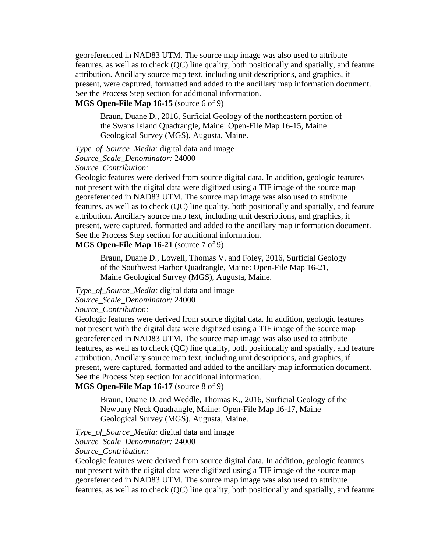georeferenced in NAD83 UTM. The source map image was also used to attribute features, as well as to check (QC) line quality, both positionally and spatially, and feature attribution. Ancillary source map text, including unit descriptions, and graphics, if present, were captured, formatted and added to the ancillary map information document. See the Process Step section for additional information.

# **MGS Open-File Map 16-15** (source 6 of 9)

Braun, Duane D., 2016, Surficial Geology of the northeastern portion of the Swans Island Quadrangle, Maine: Open-File Map 16-15, Maine Geological Survey (MGS), Augusta, Maine.

*Type\_of\_Source\_Media:* digital data and image

*Source\_Scale\_Denominator:* 24000

*Source\_Contribution:*

Geologic features were derived from source digital data. In addition, geologic features not present with the digital data were digitized using a TIF image of the source map georeferenced in NAD83 UTM. The source map image was also used to attribute features, as well as to check (QC) line quality, both positionally and spatially, and feature attribution. Ancillary source map text, including unit descriptions, and graphics, if present, were captured, formatted and added to the ancillary map information document. See the Process Step section for additional information.

# **MGS Open-File Map 16-21** (source 7 of 9)

Braun, Duane D., Lowell, Thomas V. and Foley, 2016, Surficial Geology of the Southwest Harbor Quadrangle, Maine: Open-File Map 16-21, Maine Geological Survey (MGS), Augusta, Maine.

*Type\_of\_Source\_Media:* digital data and image

*Source\_Scale\_Denominator:* 24000

### *Source\_Contribution:*

Geologic features were derived from source digital data. In addition, geologic features not present with the digital data were digitized using a TIF image of the source map georeferenced in NAD83 UTM. The source map image was also used to attribute features, as well as to check (QC) line quality, both positionally and spatially, and feature attribution. Ancillary source map text, including unit descriptions, and graphics, if present, were captured, formatted and added to the ancillary map information document. See the Process Step section for additional information.

# **MGS Open-File Map 16-17** (source 8 of 9)

Braun, Duane D. and Weddle, Thomas K., 2016, Surficial Geology of the Newbury Neck Quadrangle, Maine: Open-File Map 16-17, Maine Geological Survey (MGS), Augusta, Maine.

*Type\_of\_Source\_Media:* digital data and image *Source\_Scale\_Denominator:* 24000

*Source\_Contribution:*

Geologic features were derived from source digital data. In addition, geologic features not present with the digital data were digitized using a TIF image of the source map georeferenced in NAD83 UTM. The source map image was also used to attribute features, as well as to check (QC) line quality, both positionally and spatially, and feature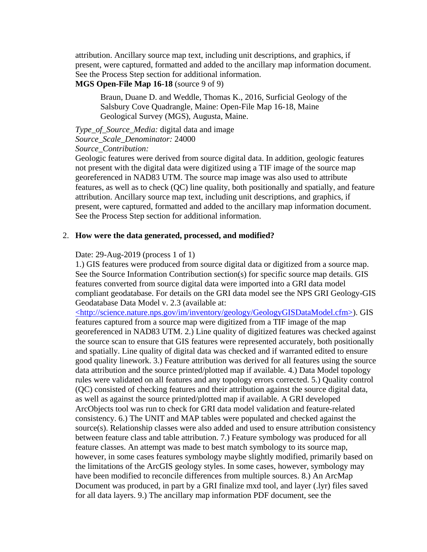attribution. Ancillary source map text, including unit descriptions, and graphics, if present, were captured, formatted and added to the ancillary map information document. See the Process Step section for additional information.

# **MGS Open-File Map 16-18** (source 9 of 9)

Braun, Duane D. and Weddle, Thomas K., 2016, Surficial Geology of the Salsbury Cove Quadrangle, Maine: Open-File Map 16-18, Maine Geological Survey (MGS), Augusta, Maine.

# *Type\_of\_Source\_Media:* digital data and image *Source\_Scale\_Denominator:* 24000

*Source\_Contribution:*

Geologic features were derived from source digital data. In addition, geologic features not present with the digital data were digitized using a TIF image of the source map georeferenced in NAD83 UTM. The source map image was also used to attribute features, as well as to check (QC) line quality, both positionally and spatially, and feature attribution. Ancillary source map text, including unit descriptions, and graphics, if present, were captured, formatted and added to the ancillary map information document. See the Process Step section for additional information.

### <span id="page-7-0"></span>2. **How were the data generated, processed, and modified?**

### Date: 29-Aug-2019 (process 1 of 1)

1.) GIS features were produced from source digital data or digitized from a source map. See the Source Information Contribution section(s) for specific source map details. GIS features converted from source digital data were imported into a GRI data model compliant geodatabase. For details on the GRI data model see the NPS GRI Geology-GIS Geodatabase Data Model v. 2.3 (available at:

[<http://science.nature.nps.gov/im/inventory/geology/GeologyGISDataModel.cfm>\)](http://science.nature.nps.gov/im/inventory/geology/GeologyGISDataModel.cfm). GIS features captured from a source map were digitized from a TIF image of the map georeferenced in NAD83 UTM. 2.) Line quality of digitized features was checked against the source scan to ensure that GIS features were represented accurately, both positionally and spatially. Line quality of digital data was checked and if warranted edited to ensure good quality linework. 3.) Feature attribution was derived for all features using the source data attribution and the source printed/plotted map if available. 4.) Data Model topology rules were validated on all features and any topology errors corrected. 5.) Quality control (QC) consisted of checking features and their attribution against the source digital data, as well as against the source printed/plotted map if available. A GRI developed ArcObjects tool was run to check for GRI data model validation and feature-related consistency. 6.) The UNIT and MAP tables were populated and checked against the source(s). Relationship classes were also added and used to ensure attribution consistency between feature class and table attribution. 7.) Feature symbology was produced for all feature classes. An attempt was made to best match symbology to its source map, however, in some cases features symbology maybe slightly modified, primarily based on the limitations of the ArcGIS geology styles. In some cases, however, symbology may have been modified to reconcile differences from multiple sources. 8.) An ArcMap Document was produced, in part by a GRI finalize mxd tool, and layer (.lyr) files saved for all data layers. 9.) The ancillary map information PDF document, see the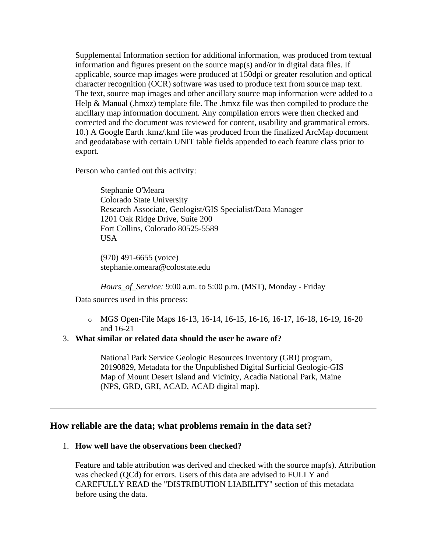Supplemental Information section for additional information, was produced from textual information and figures present on the source map(s) and/or in digital data files. If applicable, source map images were produced at 150dpi or greater resolution and optical character recognition (OCR) software was used to produce text from source map text. The text, source map images and other ancillary source map information were added to a Help & Manual (.hmxz) template file. The .hmxz file was then compiled to produce the ancillary map information document. Any compilation errors were then checked and corrected and the document was reviewed for content, usability and grammatical errors. 10.) A Google Earth .kmz/.kml file was produced from the finalized ArcMap document and geodatabase with certain UNIT table fields appended to each feature class prior to export.

Person who carried out this activity:

Stephanie O'Meara Colorado State University Research Associate, Geologist/GIS Specialist/Data Manager 1201 Oak Ridge Drive, Suite 200 Fort Collins, Colorado 80525-5589 **USA** 

(970) 491-6655 (voice) stephanie.omeara@colostate.edu

*Hours\_of\_Service:* 9:00 a.m. to 5:00 p.m. (MST), Monday - Friday

Data sources used in this process:

o MGS Open-File Maps 16-13, 16-14, 16-15, 16-16, 16-17, 16-18, 16-19, 16-20 and 16-21

## <span id="page-8-0"></span>3. **What similar or related data should the user be aware of?**

National Park Service Geologic Resources Inventory (GRI) program, 20190829, Metadata for the Unpublished Digital Surficial Geologic-GIS Map of Mount Desert Island and Vicinity, Acadia National Park, Maine (NPS, GRD, GRI, ACAD, ACAD digital map).

# <span id="page-8-1"></span>**How reliable are the data; what problems remain in the data set?**

### <span id="page-8-2"></span>1. **How well have the observations been checked?**

Feature and table attribution was derived and checked with the source map(s). Attribution was checked (QCd) for errors. Users of this data are advised to FULLY and CAREFULLY READ the "DISTRIBUTION LIABILITY" section of this metadata before using the data.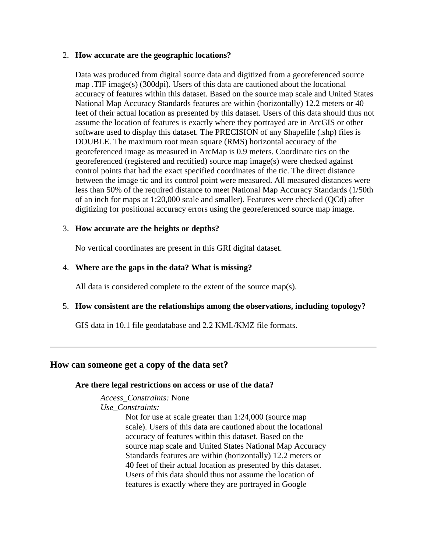### <span id="page-9-0"></span>2. **How accurate are the geographic locations?**

Data was produced from digital source data and digitized from a georeferenced source map .TIF image(s) (300dpi). Users of this data are cautioned about the locational accuracy of features within this dataset. Based on the source map scale and United States National Map Accuracy Standards features are within (horizontally) 12.2 meters or 40 feet of their actual location as presented by this dataset. Users of this data should thus not assume the location of features is exactly where they portrayed are in ArcGIS or other software used to display this dataset. The PRECISION of any Shapefile (.shp) files is DOUBLE. The maximum root mean square (RMS) horizontal accuracy of the georeferenced image as measured in ArcMap is 0.9 meters. Coordinate tics on the georeferenced (registered and rectified) source map image(s) were checked against control points that had the exact specified coordinates of the tic. The direct distance between the image tic and its control point were measured. All measured distances were less than 50% of the required distance to meet National Map Accuracy Standards (1/50th of an inch for maps at 1:20,000 scale and smaller). Features were checked (QCd) after digitizing for positional accuracy errors using the georeferenced source map image.

## <span id="page-9-1"></span>3. **How accurate are the heights or depths?**

No vertical coordinates are present in this GRI digital dataset.

# <span id="page-9-2"></span>4. **Where are the gaps in the data? What is missing?**

All data is considered complete to the extent of the source map(s).

# <span id="page-9-3"></span>5. **How consistent are the relationships among the observations, including topology?**

GIS data in 10.1 file geodatabase and 2.2 KML/KMZ file formats.

# <span id="page-9-5"></span><span id="page-9-4"></span>**How can someone get a copy of the data set?**

## **Are there legal restrictions on access or use of the data?**

*Access\_Constraints:* None

*Use\_Constraints:*

Not for use at scale greater than 1:24,000 (source map scale). Users of this data are cautioned about the locational accuracy of features within this dataset. Based on the source map scale and United States National Map Accuracy Standards features are within (horizontally) 12.2 meters or 40 feet of their actual location as presented by this dataset. Users of this data should thus not assume the location of features is exactly where they are portrayed in Google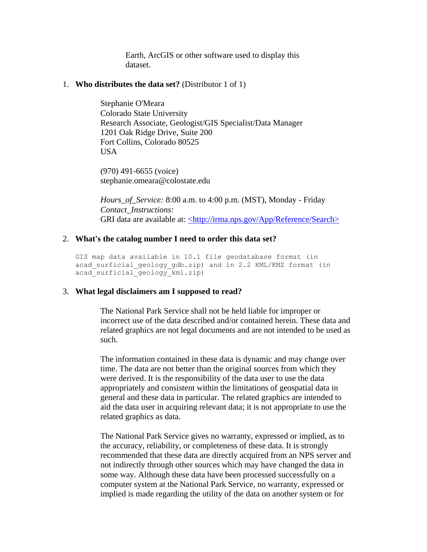Earth, ArcGIS or other software used to display this dataset.

### <span id="page-10-0"></span>1. **Who distributes the data set?** (Distributor 1 of 1)

Stephanie O'Meara Colorado State University Research Associate, Geologist/GIS Specialist/Data Manager 1201 Oak Ridge Drive, Suite 200 Fort Collins, Colorado 80525 **USA** 

(970) 491-6655 (voice) stephanie.omeara@colostate.edu

*Hours\_of\_Service:* 8:00 a.m. to 4:00 p.m. (MST), Monday - Friday *Contact\_Instructions:* GRI data are available at: [<http://irma.nps.gov/App/Reference/Search>](http://irma.nps.gov/App/Reference/Search)

### <span id="page-10-1"></span>2. **What's the catalog number I need to order this data set?**

GIS map data available in 10.1 file geodatabase format (in acad\_surficial\_geology\_gdb.zip) and in 2.2 KML/KMZ format (in acad\_surficial\_geology\_kml.zip)

### <span id="page-10-2"></span>3. **What legal disclaimers am I supposed to read?**

The National Park Service shall not be held liable for improper or incorrect use of the data described and/or contained herein. These data and related graphics are not legal documents and are not intended to be used as such.

The information contained in these data is dynamic and may change over time. The data are not better than the original sources from which they were derived. It is the responsibility of the data user to use the data appropriately and consistent within the limitations of geospatial data in general and these data in particular. The related graphics are intended to aid the data user in acquiring relevant data; it is not appropriate to use the related graphics as data.

The National Park Service gives no warranty, expressed or implied, as to the accuracy, reliability, or completeness of these data. It is strongly recommended that these data are directly acquired from an NPS server and not indirectly through other sources which may have changed the data in some way. Although these data have been processed successfully on a computer system at the National Park Service, no warranty, expressed or implied is made regarding the utility of the data on another system or for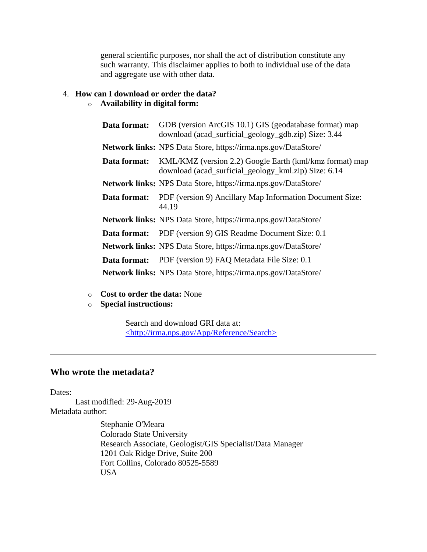general scientific purposes, nor shall the act of distribution constitute any such warranty. This disclaimer applies to both to individual use of the data and aggregate use with other data.

# <span id="page-11-0"></span>4. **How can I download or order the data?**

# o **Availability in digital form:**

|              | <b>Data format:</b> GDB (version ArcGIS 10.1) GIS (geodatabase format) map<br>download (acad_surficial_geology_gdb.zip) Size: 3.44  |
|--------------|-------------------------------------------------------------------------------------------------------------------------------------|
|              | <b>Network links:</b> NPS Data Store, https://irma.nps.gov/DataStore/                                                               |
|              | <b>Data format:</b> KML/KMZ (version 2.2) Google Earth (kml/kmz format) map<br>download (acad_surficial_geology_kml.zip) Size: 6.14 |
|              | Network links: NPS Data Store, https://irma.nps.gov/DataStore/                                                                      |
|              | <b>Data format:</b> PDF (version 9) Ancillary Map Information Document Size:<br>44.19                                               |
|              | <b>Network links:</b> NPS Data Store, https://irma.nps.gov/DataStore/                                                               |
| Data format: | PDF (version 9) GIS Readme Document Size: 0.1                                                                                       |
|              | <b>Network links:</b> NPS Data Store, https://irma.nps.gov/DataStore/                                                               |
| Data format: | PDF (version 9) FAQ Metadata File Size: 0.1                                                                                         |
|              | Network links: NPS Data Store, https://irma.nps.gov/DataStore/                                                                      |
|              |                                                                                                                                     |

- o **Cost to order the data:** None
- o **Special instructions:**

Search and download GRI data at: [<http://irma.nps.gov/App/Reference/Search>](http://irma.nps.gov/App/Reference/Search)

# <span id="page-11-1"></span>**Who wrote the metadata?**

Dates:

Last modified: 29-Aug-2019 Metadata author:

> Stephanie O'Meara Colorado State University Research Associate, Geologist/GIS Specialist/Data Manager 1201 Oak Ridge Drive, Suite 200 Fort Collins, Colorado 80525-5589 USA